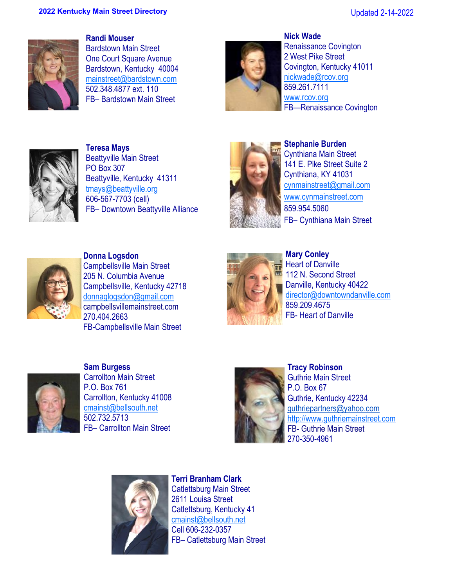

**Randi Mouser**  Bardstown Main Street One Court Square Avenue Bardstown, Kentucky 40004 [mainstreet@bardstown.com](mailto:mainstreet@bardstown.com) 502.348.4877 ext. 110 FB– Bardstown Main Street



**Nick Wade**  Renaissance Covington 2 West Pike Street Covington, Kentucky 41011 [nickwade@rcov.org](mailto:kmeyer@covingtonky.gov) 859.261.7111 www.rcov.org FB—Renaissance Covington



**Teresa Mays** Beattyville Main Street PO Box 307 Beattyville, Kentucky 41311 tmays@beattyville.org 606-567-7703 (cell) FB– Downtown Beattyville Alliance



**Stephanie Burden**  Cynthiana Main Street 141 E. Pike Street Suite 2 Cynthiana, KY 41031 [cynmainstreet@gmail.com](mailto:cynmainstreet@gmail.com) [www.cynmainstreet.com](http://www.cynthianamainstreet.com)  859.954.5060 FB– Cynthiana Main Street



**Donna Logsdon**  Campbellsville Main Street 205 N. Columbia Avenue Campbellsville, Kentucky 42718 donnaglogsdon@gmail.com campbellsvillemainstreet.com 270.404.2663 FB-Campbellsville Main Street



**Mary Conley**  $\blacksquare$  Heart of Danville 112 N. Second Street Danville, Kentucky 40422 [director@downtowndanville.com](mailto:director@downtowndanville.com) 859.209.4675 FB- Heart of Danville



**Sam Burgess**  Carrollton Main Street P.O. Box 761 Carrollton, Kentucky 41008 [cmainst@bellsouth.net](mailto:cmainst@bellsouth.net) 502.732.5713 FB– Carrollton Main Street



**Tracy Robinson**  Guthrie Main Street P.O. Box 67 Guthrie, Kentucky 42234 guthriepartners@yahoo.com [http://www.guthriemainstreet.com](https://urldefense.com/v3/__http:/www.guthriemainstreet.com__;!!Db6frn15oIvDD3UI!yH3cfrsF1joeruppoOVsYj8TuRmMLAr3OBqDVnGphRIZuLxxUUcUdJlP6cgHE-NY-E2l$) FB- Guthrie Main Street 270-350-4961



**Terri Branham Clark**  Catlettsburg Main Street 2611 Louisa Street Catlettsburg, Kentucky 41 [cmainst@bellsouth.net](mailto:cmainst@bellsouth.net) Cell 606-232-0357 FB– Catlettsburg Main Street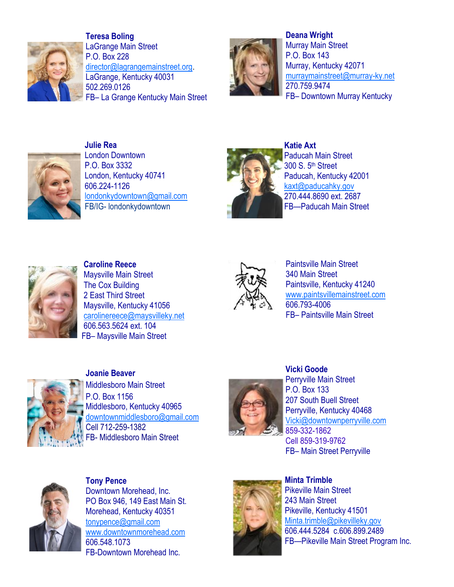

**Teresa Boling** LaGrange Main Street P.O. Box 228 [director@lagrangemainstreet.org.](mailto:director@lagrangemainstreet.org) LaGrange, Kentucky 40031 502.269.0126 FB– La Grange Kentucky Main Street



**Deana Wright**  Murray Main Street P.O. Box 143 Murray, Kentucky 42071 [murraymainstreet@murray-ky.net](mailto:murraymainstreet@murray-ky.net) 270.759.9474 FB– Downtown Murray Kentucky



**Julie Rea** London Downtown P.O. Box 3332 London, Kentucky 40741 606.224-1126 [londonkydowntown@gmail.com](mailto:londonkydowntown@gmail.com) FB/IG- londonkydowntown



**Katie Axt** Paducah Main Street 300 S. 5th Street Paducah, Kentucky 42001 [kaxt@paducahky.gov](mailto:kaxt@paducahky.gov) 270.444.8690 ext. 2687 FB—Paducah Main Street



**Caroline Reece** Maysville Main Street The Cox Building 2 East Third Street Maysville, Kentucky 41056 [carolinereece@maysvilleky.net](mailto:mattwallingford@maysvilleky.net) 606.563.5624 ext. 104 FB– Maysville Main Street



Paintsville Main Street 340 Main Street Paintsville, Kentucky 41240 www.paintsvillemainstreet.com 606.793-4006 FB– Paintsville Main Street



**Joanie Beaver**  Middlesboro Main Street P.O. Box 1156 Middlesboro, Kentucky 40965 [downtownmiddlesboro@gmail.com](mailto:downtownmiddlesboro@gmail.com) Cell 712-259-1382 FB- [Middlesboro Main Street](https://m.facebook.com/MboroMainStreet/) 



**Vicki Goode**  Perryville Main Street P.O. Box 133 207 South Buell Street Perryville, Kentucky 40468 [Vicki@downtownperryville.com](mailto:Vicki@downtownperryvill.com) 859-332-1862 Cell 859-319-9762 FB– Main Street Perryville



**Tony Pence**  Downtown Morehead, Inc. PO Box 946, 149 East Main St. Morehead, Kentucky 40351 [tonypence@gmail.com](mailto:tonypence@gmail.com) www.downtownmorehead.com 606.548.1073 FB-Downtown Morehead Inc.



**Minta Trimble**  Pikeville Main Street 243 Main Street Pikeville, Kentucky 41501 Minta.trimble@pikevilleky.gov 606.444.5284 c.606.899.2489 FB—Pikeville Main Street Program Inc.